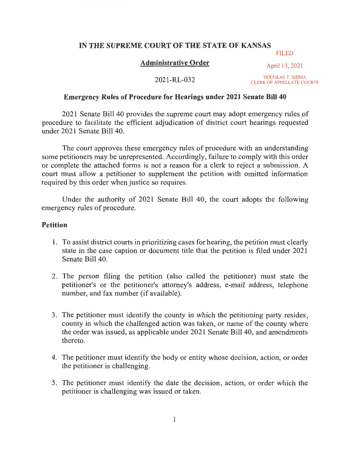## **IN THE SUPREME COURT OF THE STATE OF KANSAS**

### **Administrative Order**

FILED April 13, 2021

2021-RL-032

DOUGLAS T. SHIMA CLERK OF APPELLATE COURTS

#### **Emergency Rules of Procedure for Hearings under 2021 Senate Bill40**

2021 Senate Bill 40 provides the supreme court may adopt emergency rules of procedure to facilitate the efficient adjudication of district court hearings requested under 2021 Senate Bill 40.

The court approves these emergency rules of procedure with an understanding some petitioners may be unrepresented. Accordingly, failure to comply with this order or complete the attached forms is not a reason for a clerk to reject a submission. A court must allow a petitioner to supplement the petition with omitted information required by this order when justice so requires.

Under the authority of 2021 Senate Bill 40, the court adopts the following emergency rules of procedure.

#### **Petition**

- 1. To assist district courts in prioritizing cases for hearing, the petition must clearly state in the case caption or document title that the petition is filed under 2021 Senate Bill 40.
- 2. The person filing the petition (also called the petitioner) must state the petitioner's or the petitioner's attorney's address, e-mail address, telephone number, and fax number (if available).
- 3. The petitioner must identify the county in which the petitioning party resides, county in which the challenged action was taken, or name of the county where the order was issued, as applicable under 2021 Senate Bill 40, and amendments thereto.
- 4. The petitioner must identify the body or entity whose decision, action, or order the petitioner is challenging.
- 5. The petitioner must identify the date the decision, action, or order which the petitioner is challenging was issued or taken.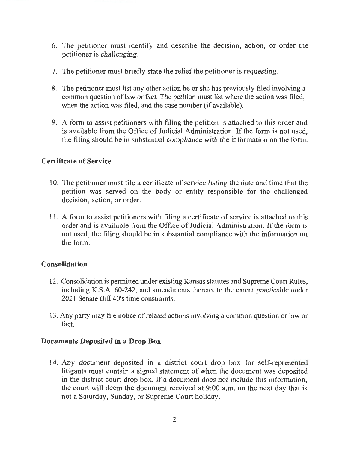- 6. The petitioner must identify and describe the decision, action, or order the petitioner is challenging.
- 7. The petitioner must briefly state the relief the petitioner is requesting.
- 8. The petitioner must list any other action he or she has previously filed involving a common question of law or fact. The petition must list where the action was filed, when the action was filed, and the case number (if available).
- 9. A form to assist petitioners with filing the petition is attached to this order and is available from the Office of Judicial Administration. If the form is not used, the filing should be in substantial compliance with the information on the form.

## **Certificate of Service**

- 10. The petitioner must file a certificate of service listing the date and time that the petition was served on the body or entity responsible for the challenged decision, action, or order.
- 11. A form to assist petitioners with filing a certificate of service is attached to this order and is available from the Office of Judicial Administration. If the form is not used, the filing should be in substantial compliance with the information on the form.

# **Consolidation**

- 12. Consolidation is permitted under existing Kansas statutes and Supreme Court Rules, including K.S.A. 60-242, and amendments thereto, to the extent practicable under 2021 Senate Bill 40's time constraints.
- 13. Any party may file notice of related actions involving a common question or law or fact.

# **Documents Deposited in a Drop Box**

14. Any document deposited in a district court drop box for self-represented litigants must contain a signed statement of when the document was deposited in the district court drop box. If a document does not include this information, the court will deem the document received at 9:00 a.m. on the next day that is not a Saturday, Sunday, or Supreme Court holiday.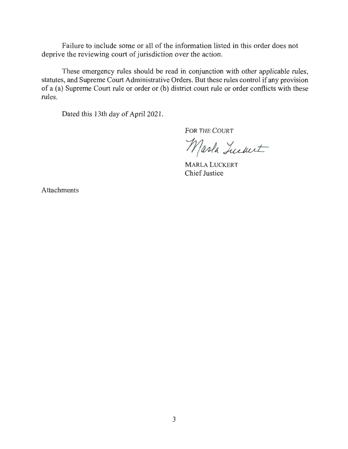Failure to include some or all of the information listed in this order does not deprive the reviewing court of jurisdiction over the action.

These emergency rules should be read in conjunction with other applicable rules, statutes, and Supreme Court Administrative Orders. But these rules control if any provision of a (a) Supreme Court rule or order or (b) district court rule or order conflicts with these rules.

Dated this 13th day of April 2021 .

FOR THE COURT<br>Marla Luckert

MARLA LUCKERT Chief Justice

Attachments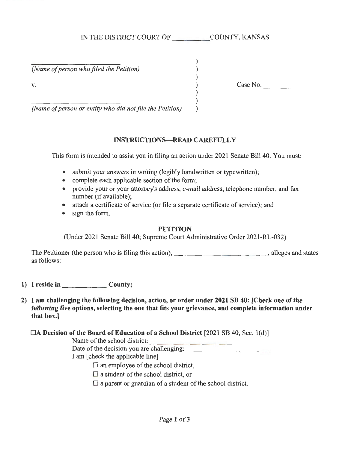*(Name of person who filed the Petition)* 

v.  $2x + 3y + 2y = 0$ <br>y.  $2x + 3y + 2y = 0$ <br>y.  $2x + 3y + 2y = 0$ <br>y.  $2x + 3y + 2y = 0$ 

*(Name of person or entity who did not file the Petition)* 

#### **INSTRUCTIONS-READ CAREFULLY**

) ) ) ) ) ) )

This form is intended to assist you in filing an action under 2021 Senate Bill40. You must:

- submit your answers in writing (legibly handwritten or typewritten);
- complete each applicable section of the form;
- provide your or your attorney's address, e-mail address, telephone number, and fax number (if available);
- attach a certificate of service (or file a separate certificate of service); and
- sign the form.

#### **PETITION**

(Under 2021 Senate Bill 40; Supreme Court Administrative Order 2021-RL-032)

The Petitioner (the person who is filing this action), \_\_\_\_\_\_\_\_\_\_\_\_\_\_\_\_\_\_\_\_\_\_\_\_, alleges and states as follows:

- **1) I reside in \_\_\_\_\_\_ County;**
- **2) I am challenging the following decision, action, or order under 2021 SB 40: [Check one of the following five options, selecting the one that fits your grievance, and complete information under that box.]** 
	- OA **Decision of the Board of Education of a School District** [2021 SB 40, Sec. 1 (d)]

Name of the school district:  $\frac{1}{\sqrt{1-\frac{1}{n}}$ 

I am [check the applicable line]

 $\Box$  an employee of the school district,

 $\square$  a student of the school district, or

 $\Box$  a parent or guardian of a student of the school district.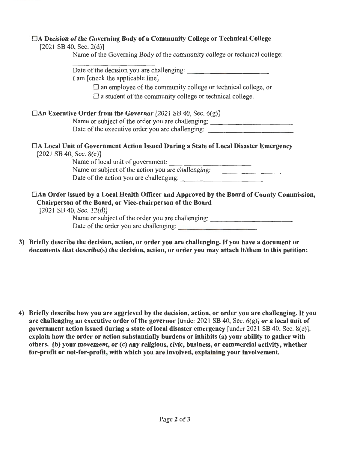### DA Decision of the Governing Body of a Community College or Technical College

| $\Box$ ) Dennon of the Governing Doug of a Community Conege of Technical Conege<br>[2021 S B 40, Sec. 2(d)]      |
|------------------------------------------------------------------------------------------------------------------|
| Name of the Governing Body of the community college or technical college:                                        |
| Date of the decision you are challenging:                                                                        |
| I am [check the applicable line]                                                                                 |
| $\Box$ an employee of the community college or technical college, or                                             |
| $\square$ a student of the community college or technical college.                                               |
| $\Box$ An Executive Order from the Governor [2021 SB 40, Sec. 6(g)]                                              |
| Name or subject of the order you are challenging:                                                                |
| Date of the executive order you are challenging:                                                                 |
| □A Local Unit of Government Action Issued During a State of Local Disaster Emergency<br>[2021 S B 40, Sec. 8(e)] |
| Name of local unit of government:                                                                                |
| Name or subject of the action you are challenging:                                                               |
|                                                                                                                  |
| □An Order issued by a Local Health Officer and Approved by the Board of County Commission,                       |
| Chairperson of the Board, or Vice-chairperson of the Board<br>[2021 S B 40, Sec. 12(d)]                          |
| Name or subject of the order you are challenging:                                                                |
| Date of the order you are challenging:                                                                           |

3) Briefly describe the decision, action, or order you are challenging. If you have a document or documents that describe(s) the decision, action, or order you may attach it/them to this petition:

4) Briefly describe how you are aggrieved by the decision, action, or order you are challenging. If you are challenging an executive order of the governor [under 2021 SB 40, Sec.  $6(g)$ ] or a local unit of government action issued during a state of local disaster emergency [under  $2021$  SB 40, Sec. 8(e)], explain how the order or action substantially burdens or inhibits (a) your ability to gather with others, (b) your movement, or (c) any religious, civic, business, or commercial activity, whether for-profit or not-for-profit, with which you are involved, explaining your involvement.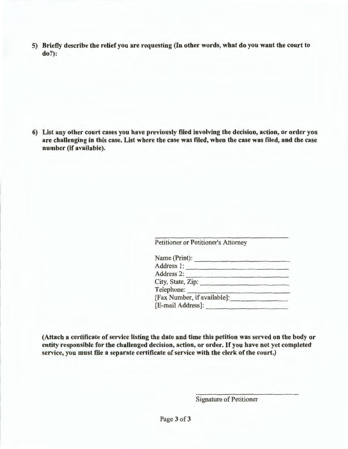5) Briefly describe the relief you are requesting (In other words, what do you want the court to do?):

6) List any other court cases you have previously filed involving the decision, action, or order you are challenging in this case. List where the case was filed, when the case was filed, and the case number (if available).

Petitioner or Petitioner's Attorney

| Name (Print):               |  |
|-----------------------------|--|
| Address 1:                  |  |
| Address 2:                  |  |
| City, State, Zip:           |  |
| Telephone:                  |  |
| [Fax Number, if available]: |  |
| [E-mail Address]:           |  |

(Attach a certificate of service listing the date and time this petition was served on the body or entity responsible for the challenged decision, action, or order. If you have not yet completed service, you must file a separate certificate of service with the clerk of the court.)

Signature of Petitioner